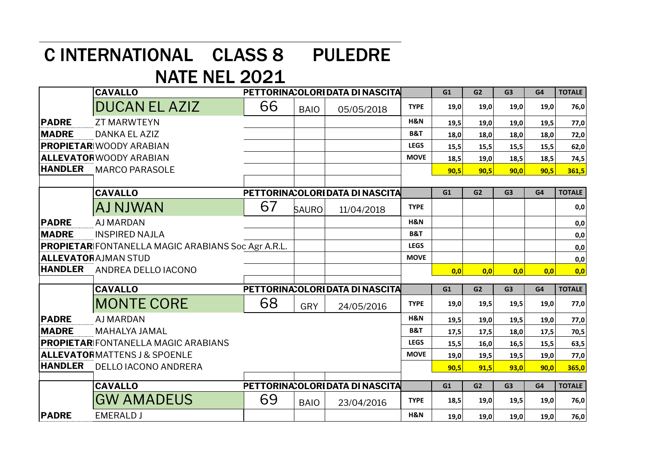## C INTERNATIONAL CLASS 8 PULEDRE

## NATE NEL 2021

|                | <b>CAVALLO</b>                                            |    |              | PETTORINA: OLORI DATA DI NASCITA |                | G1   | G <sub>2</sub> | G <sub>3</sub> | G4   | <b>TOTALE</b> |
|----------------|-----------------------------------------------------------|----|--------------|----------------------------------|----------------|------|----------------|----------------|------|---------------|
|                | <b>DUCAN EL AZIZ</b>                                      | 66 | <b>BAIO</b>  | 05/05/2018                       | <b>TYPE</b>    | 19,0 | 19,0           | 19,0           | 19,0 | 76,0          |
| <b>PADRE</b>   | <b>ZT MARWTEYN</b>                                        |    |              |                                  | H&N            | 19,5 | 19,0           | 19,0           | 19,5 | 77,0          |
| <b>MADRE</b>   | DANKA EL AZIZ                                             |    |              |                                  | <b>B&amp;T</b> | 18,0 | 18,0           | 18,0           | 18,0 | 72,0          |
|                | <b>PROPIETAR WOODY ARABIAN</b>                            |    |              |                                  | <b>LEGS</b>    | 15,5 | 15,5           | 15,5           | 15,5 | 62,0          |
|                | ALLEVATORWOODY ARABIAN                                    |    |              |                                  | <b>MOVE</b>    | 18,5 | 19,0           | 18,5           | 18,5 | 74,5          |
| <b>HANDLER</b> | <b>MARCO PARASOLE</b>                                     |    |              |                                  |                | 90,5 | 90,5           | 90,0           | 90,5 | 361,5         |
|                |                                                           |    |              |                                  |                |      |                |                |      |               |
|                | <b>CAVALLO</b>                                            |    |              | PETTORINA: OLORI DATA DI NASCITA |                | G1   | G <sub>2</sub> | G <sub>3</sub> | G4   | <b>TOTALE</b> |
|                | AJ NJWAN                                                  | 67 | <b>SAURO</b> | 11/04/2018                       | <b>TYPE</b>    |      |                |                |      | 0,0           |
| <b>PADRE</b>   | <b>AJ MARDAN</b>                                          |    |              |                                  | H&N            |      |                |                |      | 0,0           |
| <b>MADRE</b>   | <b>INSPIRED NAJLA</b>                                     |    |              |                                  | <b>B&amp;T</b> |      |                |                |      | 0,0           |
|                | <b>PROPIETAR</b> FONTANELLA MAGIC ARABIANS Soc Agr A.R.L. |    |              |                                  | <b>LEGS</b>    |      |                |                |      | 0,0           |
|                | <b>ALLEVATORAJMAN STUD</b>                                |    |              |                                  | <b>MOVE</b>    |      |                |                |      | 0,0           |
| <b>HANDLER</b> | ANDREA DELLO IACONO                                       |    |              |                                  |                | 0,0  | 0,0            | 0,0            | 0,0  | 0,0           |
|                | <b>CAVALLO</b>                                            |    |              | PETTORINA: OLORI DATA DI NASCITA |                | G1   | G <sub>2</sub> | G <sub>3</sub> | G4   | <b>TOTALE</b> |
|                | <b>MONTE CORE</b>                                         | 68 | <b>GRY</b>   | 24/05/2016                       | <b>TYPE</b>    | 19,0 | 19,5           | 19,5           | 19,0 | 77,0          |
| <b>PADRE</b>   | <b>AJ MARDAN</b>                                          |    |              |                                  | H&N            | 19,5 | 19,0           | 19,5           | 19,0 | 77,0          |
| <b>MADRE</b>   | <b>MAHALYA JAMAL</b>                                      |    |              |                                  | <b>B&amp;T</b> | 17,5 | 17,5           | 18,0           | 17,5 | 70,5          |
|                | <b>PROPIETAR</b> FONTANELLA MAGIC ARABIANS                |    |              |                                  | <b>LEGS</b>    | 15,5 | 16,0           | 16,5           | 15,5 | 63,5          |
|                | <b>ALLEVATORMATTENS J &amp; SPOENLE</b>                   |    |              |                                  | <b>MOVE</b>    | 19,0 | 19,5           | 19,5           | 19,0 | 77,0          |
| <b>HANDLER</b> | <b>DELLO IACONO ANDRERA</b>                               |    |              |                                  |                | 90,5 | 91.5           | 93,0           | 90.0 | 365,0         |
|                | <b>CAVALLO</b>                                            |    |              | PETTORINA: OLORI DATA DI NASCITA |                | G1   | G <sub>2</sub> | G <sub>3</sub> | G4   | <b>TOTALE</b> |
|                | <b>GW AMADEUS</b>                                         | 69 | <b>BAIO</b>  | 23/04/2016                       | <b>TYPE</b>    | 18,5 | 19,0           | 19,5           | 19,0 | 76,0          |
| <b>PADRE</b>   | <b>EMERALD J</b>                                          |    |              |                                  | H&N            | 19,0 | 19,0           | 19,0           | 19,0 | 76,0          |